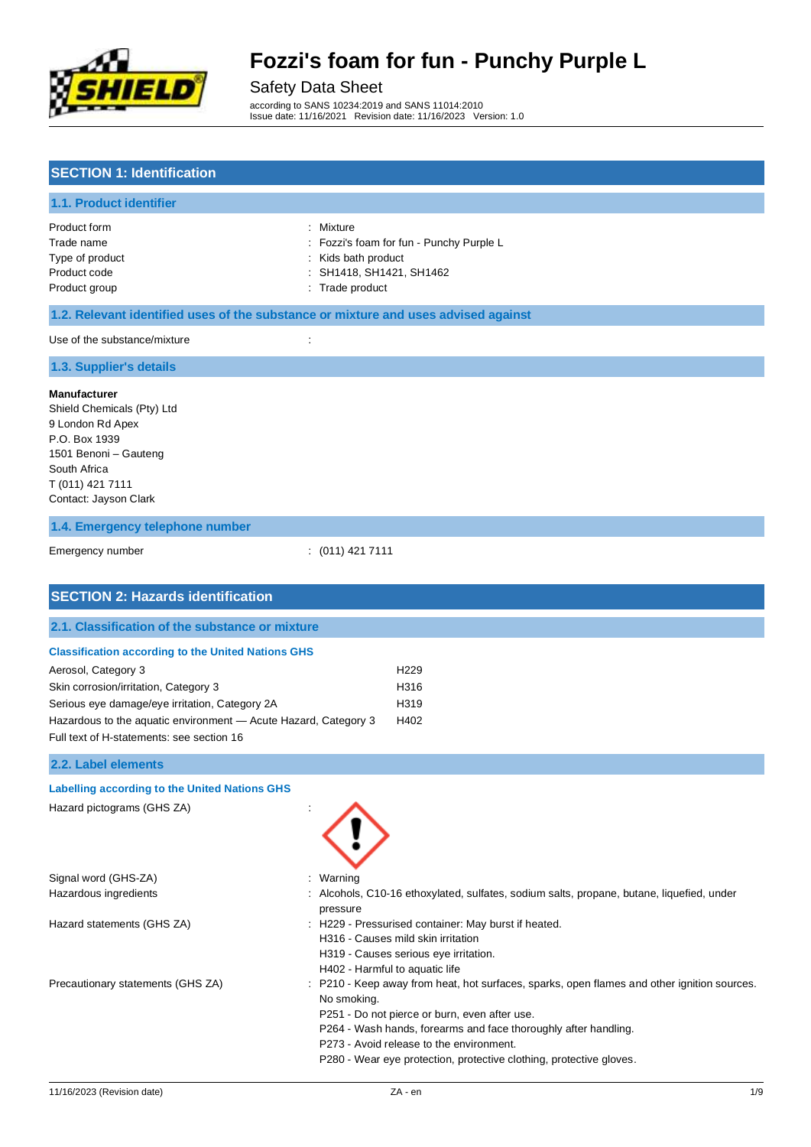

### Safety Data Sheet

according to SANS 10234:2019 and SANS 11014:2010 Issue date: 11/16/2021 Revision date: 11/16/2023 Version: 1.0

## **SECTION 1: Identification**

#### **1.1. Product identifier**

Product form : Nixture : Mixture

- Trade name **in the state of the Contract State 1** Fozzi's foam for fun Punchy Purple L
- Type of product **interval and the control of the control of the control of the control of the control of the control of the control of the control of the control of the control of the control of the control of the control**
- Product code : SH1418, SH1421, SH1462
- Product group **Example 20** is the product of the Product of the Product of the Product of the Product of the Product of the Product of the Product of the Product of the Product of the Product of the Product of the Product

#### **1.2. Relevant identified uses of the substance or mixture and uses advised against**

Use of the substance/mixture in the substance of the substance  $\cdot$  :

#### **1.3. Supplier's details**

#### **Manufacturer**

Shield Chemicals (Pty) Ltd 9 London Rd Apex P.O. Box 1939 1501 Benoni – Gauteng South Africa T (011) 421 7111 Contact: Jayson Clark

#### **1.4. Emergency telephone number**

```
Emergency number : (011) 421 7111
```

| <b>SECTION 2: Hazards identification</b>                                                                                                                                                                                       |                                                                                                                                                                                                                                                                                                                                                   |
|--------------------------------------------------------------------------------------------------------------------------------------------------------------------------------------------------------------------------------|---------------------------------------------------------------------------------------------------------------------------------------------------------------------------------------------------------------------------------------------------------------------------------------------------------------------------------------------------|
| 2.1. Classification of the substance or mixture                                                                                                                                                                                |                                                                                                                                                                                                                                                                                                                                                   |
| <b>Classification according to the United Nations GHS</b>                                                                                                                                                                      |                                                                                                                                                                                                                                                                                                                                                   |
| Aerosol, Category 3<br>Skin corrosion/irritation, Category 3<br>Serious eye damage/eye irritation, Category 2A<br>Hazardous to the aquatic environment - Acute Hazard, Category 3<br>Full text of H-statements: see section 16 | H <sub>229</sub><br>H316<br>H319<br>H402                                                                                                                                                                                                                                                                                                          |
| 2.2. Label elements                                                                                                                                                                                                            |                                                                                                                                                                                                                                                                                                                                                   |
| <b>Labelling according to the United Nations GHS</b>                                                                                                                                                                           |                                                                                                                                                                                                                                                                                                                                                   |
| Hazard pictograms (GHS ZA)                                                                                                                                                                                                     |                                                                                                                                                                                                                                                                                                                                                   |
| Signal word (GHS-ZA)                                                                                                                                                                                                           | Warning                                                                                                                                                                                                                                                                                                                                           |
| Hazardous ingredients                                                                                                                                                                                                          | Alcohols, C10-16 ethoxylated, sulfates, sodium salts, propane, butane, liquefied, under<br>pressure                                                                                                                                                                                                                                               |
| Hazard statements (GHS ZA)                                                                                                                                                                                                     | : H229 - Pressurised container: May burst if heated.<br>H316 - Causes mild skin irritation<br>H319 - Causes serious eye irritation.<br>H402 - Harmful to aquatic life                                                                                                                                                                             |
| Precautionary statements (GHS ZA)                                                                                                                                                                                              | : P210 - Keep away from heat, hot surfaces, sparks, open flames and other ignition sources.<br>No smoking.<br>P251 - Do not pierce or burn, even after use.<br>P264 - Wash hands, forearms and face thoroughly after handling.<br>P273 - Avoid release to the environment.<br>P280 - Wear eye protection, protective clothing, protective gloves. |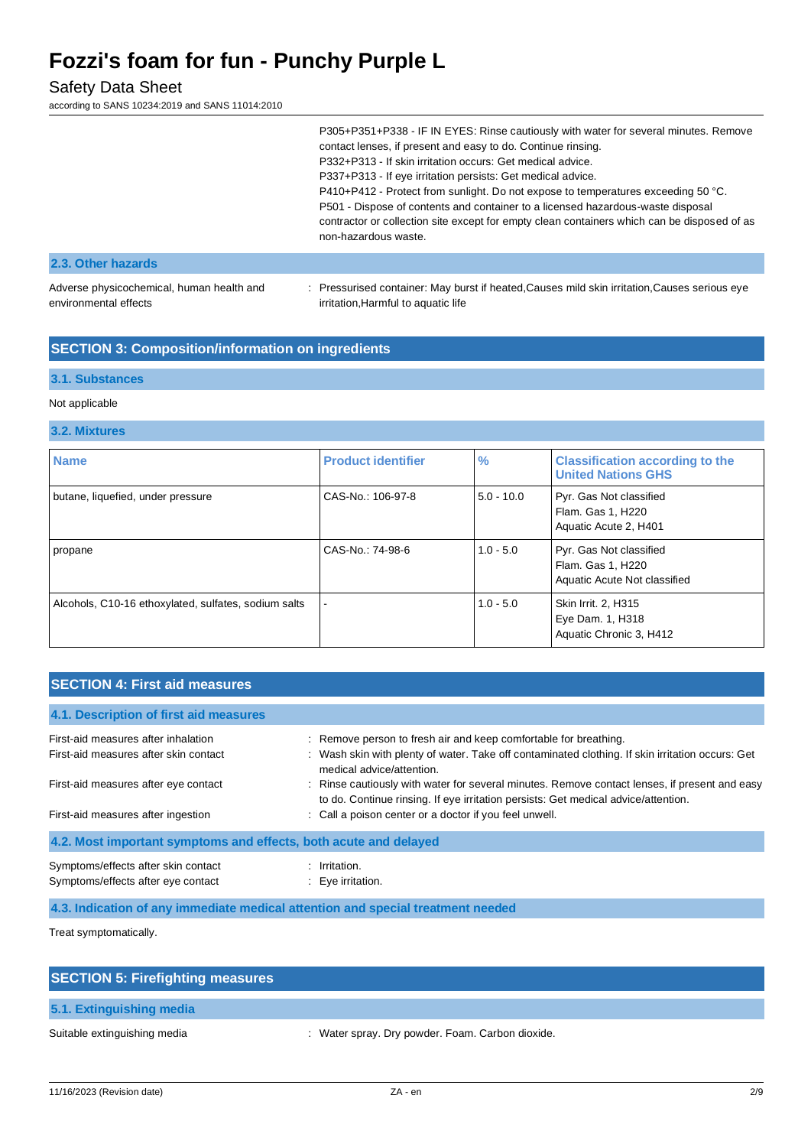## Safety Data Sheet

according to SANS 10234:2019 and SANS 11014:2010

|                                                                    | P305+P351+P338 - IF IN EYES: Rinse cautiously with water for several minutes. Remove<br>contact lenses, if present and easy to do. Continue rinsing.<br>P332+P313 - If skin irritation occurs: Get medical advice.<br>P337+P313 - If eye irritation persists: Get medical advice.<br>P410+P412 - Protect from sunlight. Do not expose to temperatures exceeding 50 °C.<br>P501 - Dispose of contents and container to a licensed hazardous-waste disposal<br>contractor or collection site except for empty clean containers which can be disposed of as<br>non-hazardous waste. |
|--------------------------------------------------------------------|----------------------------------------------------------------------------------------------------------------------------------------------------------------------------------------------------------------------------------------------------------------------------------------------------------------------------------------------------------------------------------------------------------------------------------------------------------------------------------------------------------------------------------------------------------------------------------|
| 2.3. Other hazards                                                 |                                                                                                                                                                                                                                                                                                                                                                                                                                                                                                                                                                                  |
| Adverse physicochemical, human health and<br>environmental effects | : Pressurised container: May burst if heated, Causes mild skin irritation, Causes serious eye<br>irritation, Harmful to aquatic life                                                                                                                                                                                                                                                                                                                                                                                                                                             |

## **SECTION 3: Composition/information on ingredients**

#### **3.1. Substances**

#### Not applicable

#### **3.2. Mixtures**

| <b>Name</b>                                          | <b>Product identifier</b> | $\frac{9}{6}$ | <b>Classification according to the</b><br><b>United Nations GHS</b>          |
|------------------------------------------------------|---------------------------|---------------|------------------------------------------------------------------------------|
| butane, liquefied, under pressure                    | CAS-No.: 106-97-8         | $5.0 - 10.0$  | Pyr. Gas Not classified<br>Flam. Gas 1, H220<br>Aquatic Acute 2, H401        |
| propane                                              | CAS-No.: 74-98-6          | $1.0 - 5.0$   | Pyr. Gas Not classified<br>Flam. Gas 1, H220<br>Aquatic Acute Not classified |
| Alcohols, C10-16 ethoxylated, sulfates, sodium salts |                           | $1.0 - 5.0$   | Skin Irrit. 2, H315<br>Eye Dam. 1, H318<br>Aquatic Chronic 3, H412           |

### **SECTION 4: First aid measures**

| 4.1. Description of first aid measures                                    |                                                                                                                                                                                     |  |  |  |  |
|---------------------------------------------------------------------------|-------------------------------------------------------------------------------------------------------------------------------------------------------------------------------------|--|--|--|--|
| First-aid measures after inhalation                                       | : Remove person to fresh air and keep comfortable for breathing.                                                                                                                    |  |  |  |  |
| First-aid measures after skin contact                                     | : Wash skin with plenty of water. Take off contaminated clothing. If skin irritation occurs: Get<br>medical advice/attention.                                                       |  |  |  |  |
| First-aid measures after eye contact                                      | : Rinse cautiously with water for several minutes. Remove contact lenses, if present and easy<br>to do. Continue rinsing. If eye irritation persists: Get medical advice/attention. |  |  |  |  |
| First-aid measures after ingestion                                        | : Call a poison center or a doctor if you feel unwell.                                                                                                                              |  |  |  |  |
| 4.2. Most important symptoms and effects, both acute and delayed          |                                                                                                                                                                                     |  |  |  |  |
| Symptoms/effects after skin contact<br>Symptoms/effects after eye contact | Irritation.<br>$\therefore$ Eye irritation.                                                                                                                                         |  |  |  |  |

#### **4.3. Indication of any immediate medical attention and special treatment needed**

Treat symptomatically.

| <b>SECTION 5: Firefighting measures</b> |                                                  |
|-----------------------------------------|--------------------------------------------------|
| 5.1. Extinguishing media                |                                                  |
| Suitable extinguishing media            | : Water spray. Dry powder. Foam. Carbon dioxide. |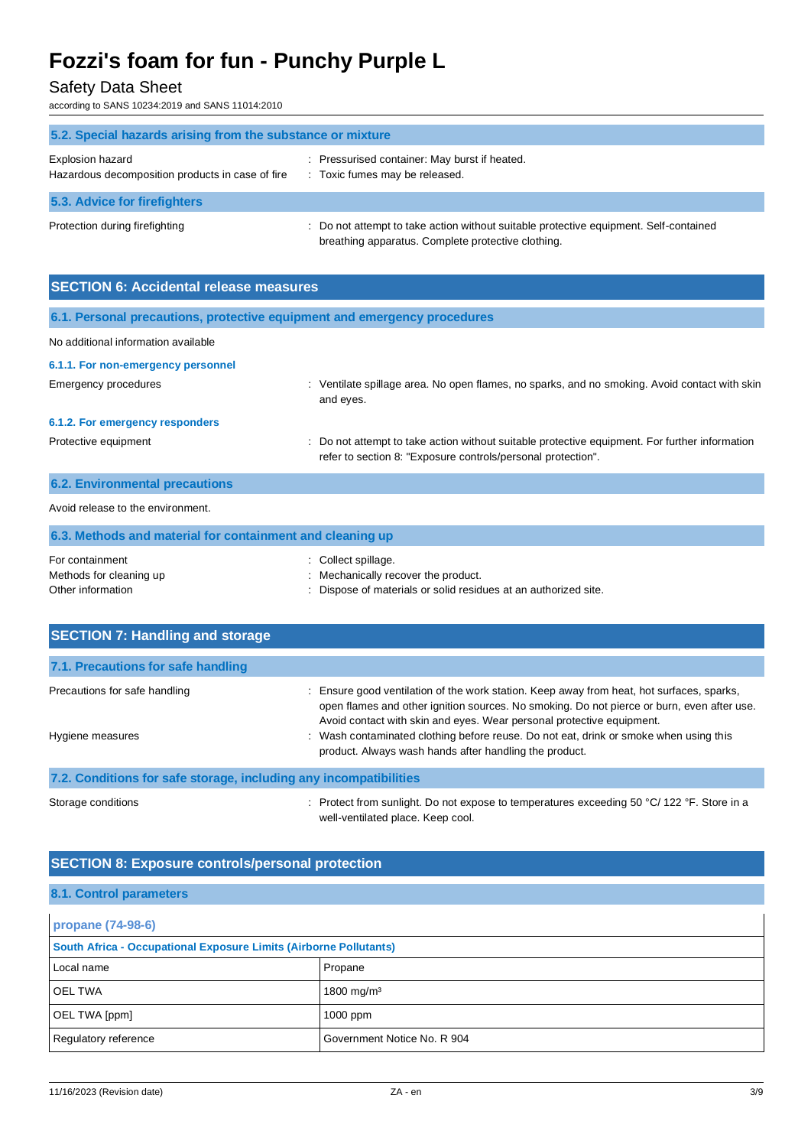## Safety Data Sheet

according to SANS 10234:2019 and SANS 11014:2010

| 5.2. Special hazards arising from the substance or mixture           |                                                                                                                                             |
|----------------------------------------------------------------------|---------------------------------------------------------------------------------------------------------------------------------------------|
| Explosion hazard<br>Hazardous decomposition products in case of fire | : Pressurised container: May burst if heated.<br>: Toxic fumes may be released.                                                             |
| 5.3. Advice for firefighters                                         |                                                                                                                                             |
| Protection during firefighting                                       | : Do not attempt to take action without suitable protective equipment. Self-contained<br>breathing apparatus. Complete protective clothing. |

| <b>SECTION 6: Accidental release measures</b>                            |                                                                                                                                                              |  |  |  |
|--------------------------------------------------------------------------|--------------------------------------------------------------------------------------------------------------------------------------------------------------|--|--|--|
| 6.1. Personal precautions, protective equipment and emergency procedures |                                                                                                                                                              |  |  |  |
| No additional information available                                      |                                                                                                                                                              |  |  |  |
| 6.1.1. For non-emergency personnel                                       |                                                                                                                                                              |  |  |  |
| Emergency procedures                                                     | : Ventilate spillage area. No open flames, no sparks, and no smoking. Avoid contact with skin<br>and eyes.                                                   |  |  |  |
| 6.1.2. For emergency responders                                          |                                                                                                                                                              |  |  |  |
| Protective equipment                                                     | Do not attempt to take action without suitable protective equipment. For further information<br>refer to section 8: "Exposure controls/personal protection". |  |  |  |
| <b>6.2. Environmental precautions</b>                                    |                                                                                                                                                              |  |  |  |
| Avoid release to the environment.                                        |                                                                                                                                                              |  |  |  |
| 6.3. Methods and material for containment and cleaning up                |                                                                                                                                                              |  |  |  |
|                                                                          |                                                                                                                                                              |  |  |  |

| For containment         | : Collect spillage.                                             |
|-------------------------|-----------------------------------------------------------------|
| Methods for cleaning up | : Mechanically recover the product.                             |
| Other information       | : Dispose of materials or solid residues at an authorized site. |

| <b>SECTION 7: Handling and storage</b>                            |                                                                                                                                                                                                                                                                |  |
|-------------------------------------------------------------------|----------------------------------------------------------------------------------------------------------------------------------------------------------------------------------------------------------------------------------------------------------------|--|
| 7.1. Precautions for safe handling                                |                                                                                                                                                                                                                                                                |  |
| Precautions for safe handling                                     | Ensure good ventilation of the work station. Keep away from heat, hot surfaces, sparks,<br>open flames and other ignition sources. No smoking. Do not pierce or burn, even after use.<br>Avoid contact with skin and eyes. Wear personal protective equipment. |  |
| Hygiene measures                                                  | : Wash contaminated clothing before reuse. Do not eat, drink or smoke when using this<br>product. Always wash hands after handling the product.                                                                                                                |  |
| 7.2. Conditions for safe storage, including any incompatibilities |                                                                                                                                                                                                                                                                |  |

Storage conditions : Protect from sunlight. Do not expose to temperatures exceeding 50 °C/ 122 °F. Store in a well-ventilated place. Keep cool.

### **SECTION 8: Exposure controls/personal protection**

#### **8.1. Control parameters**

| propane (74-98-6)                                                 |                             |  |
|-------------------------------------------------------------------|-----------------------------|--|
| South Africa - Occupational Exposure Limits (Airborne Pollutants) |                             |  |
| Local name                                                        | Propane                     |  |
| <b>OEL TWA</b>                                                    | 1800 mg/m <sup>3</sup>      |  |
| OEL TWA [ppm]                                                     | $1000$ ppm                  |  |
| Regulatory reference                                              | Government Notice No. R 904 |  |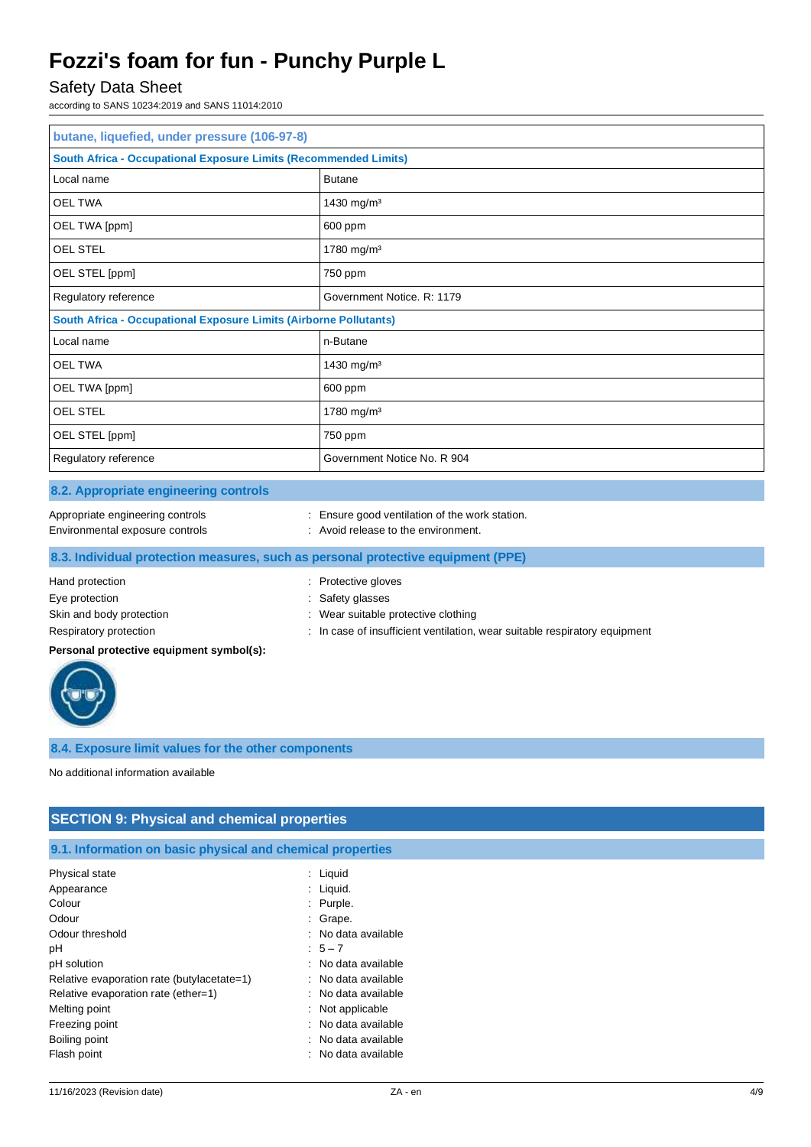### Safety Data Sheet

according to SANS 10234:2019 and SANS 11014:2010

| butane, liquefied, under pressure (106-97-8)                             |                             |  |
|--------------------------------------------------------------------------|-----------------------------|--|
| <b>South Africa - Occupational Exposure Limits (Recommended Limits)</b>  |                             |  |
| Local name                                                               | <b>Butane</b>               |  |
| <b>OEL TWA</b>                                                           | 1430 mg/m <sup>3</sup>      |  |
| OEL TWA [ppm]                                                            | 600 ppm                     |  |
| <b>OEL STEL</b>                                                          | 1780 mg/m <sup>3</sup>      |  |
| OEL STEL [ppm]                                                           | 750 ppm                     |  |
| Regulatory reference                                                     | Government Notice. R: 1179  |  |
| <b>South Africa - Occupational Exposure Limits (Airborne Pollutants)</b> |                             |  |
| Local name<br>n-Butane                                                   |                             |  |
| <b>OEL TWA</b>                                                           | 1430 mg/m <sup>3</sup>      |  |
| OEL TWA [ppm]                                                            | 600 ppm                     |  |
| <b>OEL STEL</b>                                                          | 1780 mg/m <sup>3</sup>      |  |
| OEL STEL [ppm]                                                           | 750 ppm                     |  |
| Regulatory reference                                                     | Government Notice No. R 904 |  |

#### **8.2. Appropriate engineering controls**

| Appropriate engineering controls |  |
|----------------------------------|--|
|----------------------------------|--|

: Ensure good ventilation of the work station.

- 
- Environmental exposure controls : Avoid release to the environment.

### **8.3. Individual protection measures, such as personal protective equipment (PPE)**

## Hand protection **in the contract of the Contract Server Contract Contract Protective gloves** : Protective gloves Eye protection  $\qquad \qquad$ : Safety glasses Skin and body protection **in the suitable protective clothing** : Wear suitable protective clothing

Respiratory protection : In case of insufficient ventilation, wear suitable respiratory equipment

## **Personal protective equipment symbol(s):**



### **8.4. Exposure limit values for the other components**

No additional information available

## **SECTION 9: Physical and chemical properties**

**9.1. Information on basic physical and chemical properties**

| Physical state                             | Liquid              |
|--------------------------------------------|---------------------|
| Appearance                                 | $:$ Liquid.         |
| Colour                                     | Purple.             |
| Odour                                      | : Grape.            |
| Odour threshold                            | : No data available |
| рH                                         | $5 - 7$             |
| pH solution                                | : No data available |
| Relative evaporation rate (butylacetate=1) | : No data available |
| Relative evaporation rate (ether=1)        | : No data available |
| Melting point                              | : Not applicable    |
| Freezing point                             | : No data available |
| Boiling point                              | : No data available |
| Flash point                                | : No data available |
|                                            |                     |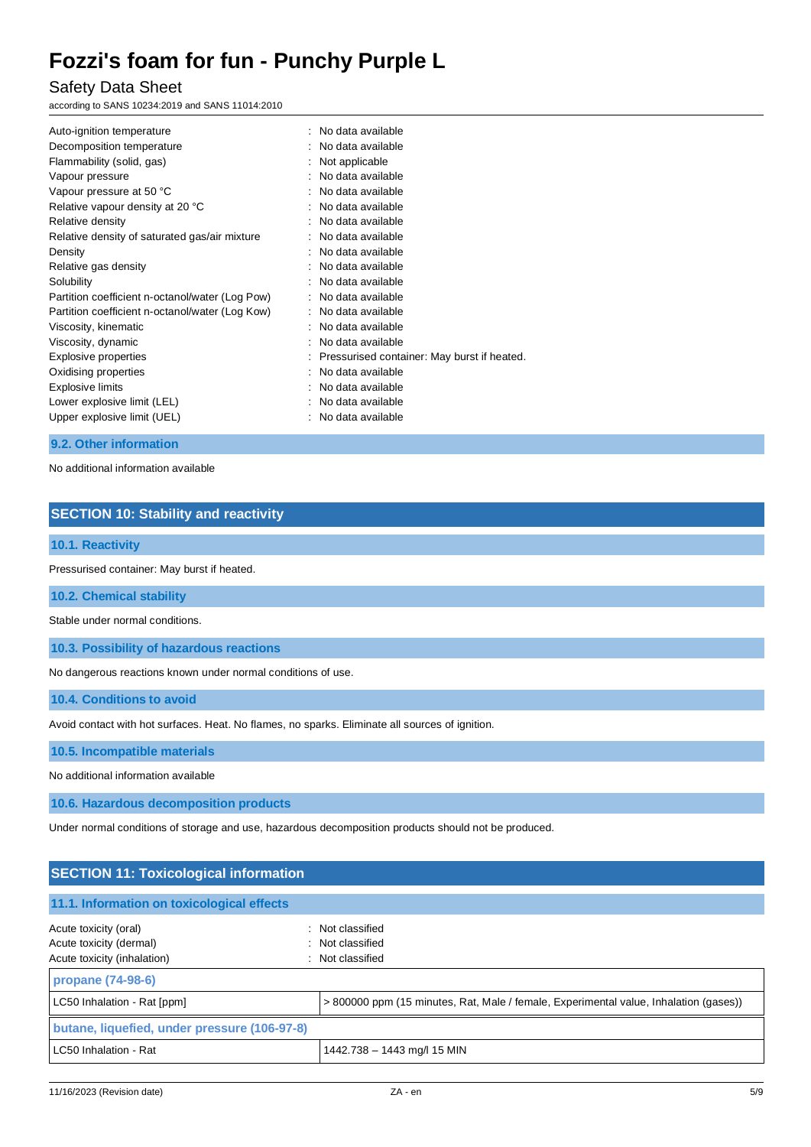## Safety Data Sheet

according to SANS 10234:2019 and SANS 11014:2010

| Auto-ignition temperature<br>Decomposition temperature<br>Flammability (solid, gas) | : No data available<br>No data available<br>$:$ Not applicable |
|-------------------------------------------------------------------------------------|----------------------------------------------------------------|
| Vapour pressure                                                                     | $\therefore$ No data available                                 |
| Vapour pressure at 50 °C                                                            | : No data available                                            |
| Relative vapour density at 20 °C                                                    | : No data available                                            |
| Relative density                                                                    | : No data available                                            |
| Relative density of saturated gas/air mixture                                       | : No data available                                            |
| Density                                                                             | : No data available                                            |
| Relative gas density                                                                | : No data available                                            |
| Solubility                                                                          | : No data available                                            |
| Partition coefficient n-octanol/water (Log Pow)                                     | : No data available                                            |
| Partition coefficient n-octanol/water (Log Kow)                                     | : No data available                                            |
| Viscosity, kinematic                                                                | : No data available                                            |
| Viscosity, dynamic                                                                  | : No data available                                            |
| Explosive properties                                                                | : Pressurised container: May burst if heated.                  |
| Oxidising properties                                                                | : No data available                                            |
| Explosive limits                                                                    | : No data available                                            |
| Lower explosive limit (LEL)                                                         | No data available                                              |
| Upper explosive limit (UEL)                                                         | : No data available                                            |
|                                                                                     |                                                                |

#### **9.2. Other information**

No additional information available

### **SECTION 10: Stability and reactivity**

#### **10.1. Reactivity**

Pressurised container: May burst if heated.

**10.2. Chemical stability**

Stable under normal conditions.

**10.3. Possibility of hazardous reactions**

No dangerous reactions known under normal conditions of use.

**10.4. Conditions to avoid**

Avoid contact with hot surfaces. Heat. No flames, no sparks. Eliminate all sources of ignition.

**10.5. Incompatible materials**

No additional information available

**10.6. Hazardous decomposition products**

Under normal conditions of storage and use, hazardous decomposition products should not be produced.

| <b>SECTION 11: Toxicological information</b>                                         |                                                                                       |  |
|--------------------------------------------------------------------------------------|---------------------------------------------------------------------------------------|--|
| 11.1. Information on toxicological effects                                           |                                                                                       |  |
| Acute toxicity (oral)<br>Acute toxicity (dermal)<br>Acute toxicity (inhalation)<br>÷ | : Not classified<br>: Not classified<br>Not classified                                |  |
| propane (74-98-6)                                                                    |                                                                                       |  |
| LC50 Inhalation - Rat [ppm]                                                          | > 800000 ppm (15 minutes, Rat, Male / female, Experimental value, Inhalation (gases)) |  |
| butane, liquefied, under pressure (106-97-8)                                         |                                                                                       |  |
| LC50 Inhalation - Rat                                                                | 1442.738 - 1443 mg/l 15 MIN                                                           |  |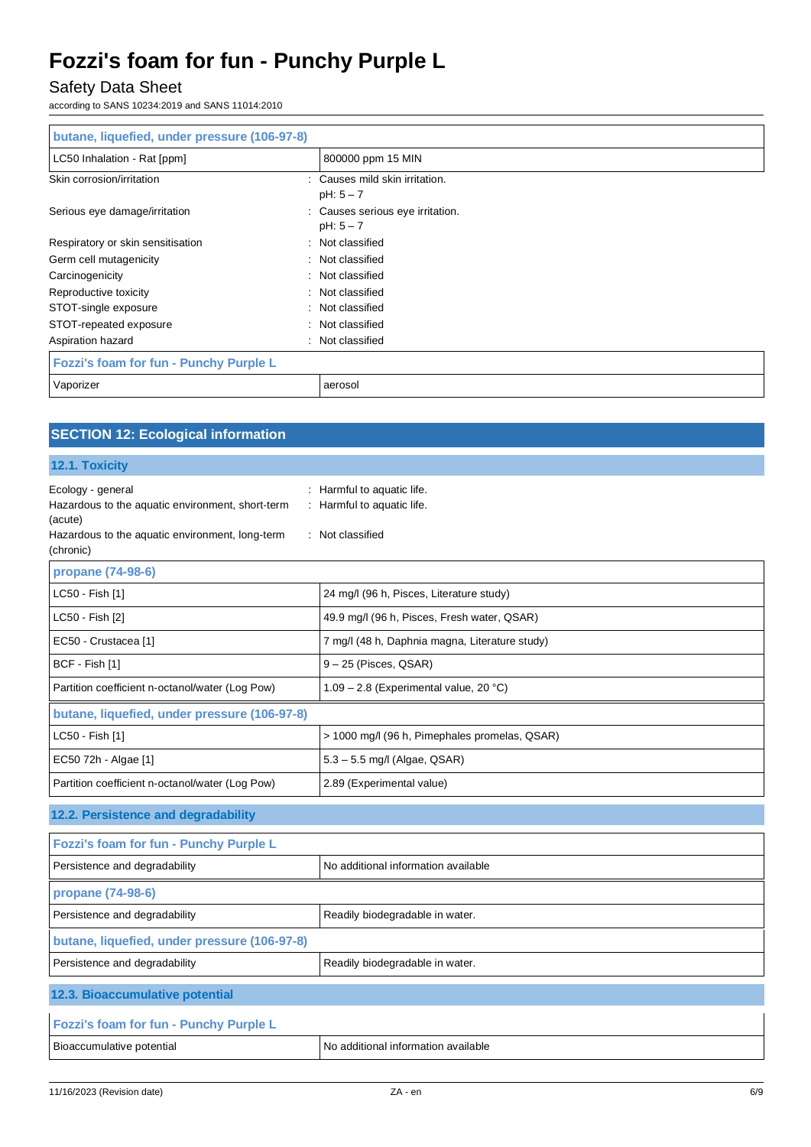## Safety Data Sheet

according to SANS 10234:2019 and SANS 11014:2010

| butane, liquefied, under pressure (106-97-8) |   |                                                 |
|----------------------------------------------|---|-------------------------------------------------|
| LC50 Inhalation - Rat [ppm]                  |   | 800000 ppm 15 MIN                               |
| Skin corrosion/irritation                    |   | : Causes mild skin irritation.<br>$pH: 5 - 7$   |
| Serious eye damage/irritation                |   | : Causes serious eye irritation.<br>$pH: 5 - 7$ |
| Respiratory or skin sensitisation            |   | : Not classified                                |
| Germ cell mutagenicity                       |   | : Not classified                                |
| Carcinogenicity                              |   | : Not classified                                |
| Reproductive toxicity                        |   | : Not classified                                |
| STOT-single exposure                         |   | : Not classified                                |
| STOT-repeated exposure                       |   | : Not classified                                |
| Aspiration hazard                            | ÷ | Not classified                                  |
| Fozzi's foam for fun - Punchy Purple L       |   |                                                 |
| Vaporizer                                    |   | aerosol                                         |

## **SECTION 12: Ecological information**

#### **12.1. Toxicity**

| Ecology - general<br>Hazardous to the aquatic environment, short-term<br>(acute)<br>Hazardous to the aquatic environment, long-term<br>(chronic) | : Harmful to aquatic life.<br>: Harmful to aquatic life.<br>: Not classified |  |
|--------------------------------------------------------------------------------------------------------------------------------------------------|------------------------------------------------------------------------------|--|
| propane (74-98-6)                                                                                                                                |                                                                              |  |
| LC50 - Fish [1]                                                                                                                                  | 24 mg/l (96 h, Pisces, Literature study)                                     |  |
| LC50 - Fish [2]                                                                                                                                  | 49.9 mg/l (96 h, Pisces, Fresh water, QSAR)                                  |  |
| EC50 - Crustacea [1]                                                                                                                             | 7 mg/l (48 h, Daphnia magna, Literature study)                               |  |
| BCF - Fish [1]                                                                                                                                   | $9 - 25$ (Pisces, QSAR)                                                      |  |
| Partition coefficient n-octanol/water (Log Pow)                                                                                                  | 1.09 - 2.8 (Experimental value, 20 °C)                                       |  |
| butane, liquefied, under pressure (106-97-8)                                                                                                     |                                                                              |  |
| LC50 - Fish [1]                                                                                                                                  | > 1000 mg/l (96 h, Pimephales promelas, QSAR)                                |  |
| EC50 72h - Algae [1]                                                                                                                             | $5.3 - 5.5$ mg/l (Algae, QSAR)                                               |  |
| Partition coefficient n-octanol/water (Log Pow)                                                                                                  | 2.89 (Experimental value)                                                    |  |
| 12.2. Persistence and degradability                                                                                                              |                                                                              |  |
| Fozzi's foam for fun - Punchy Purple L                                                                                                           |                                                                              |  |
| Persistence and degradability                                                                                                                    | No additional information available                                          |  |
| propane (74-98-6)                                                                                                                                |                                                                              |  |
| Persistence and degradability                                                                                                                    | Readily biodegradable in water.                                              |  |
| butane, liquefied, under pressure (106-97-8)                                                                                                     |                                                                              |  |
| Persistence and degradability                                                                                                                    | Readily biodegradable in water.                                              |  |
| 12.3. Bioaccumulative potential                                                                                                                  |                                                                              |  |
| Fozzi's foam for fun - Punchy Purple L                                                                                                           |                                                                              |  |
| Bioaccumulative potential                                                                                                                        | No additional information available                                          |  |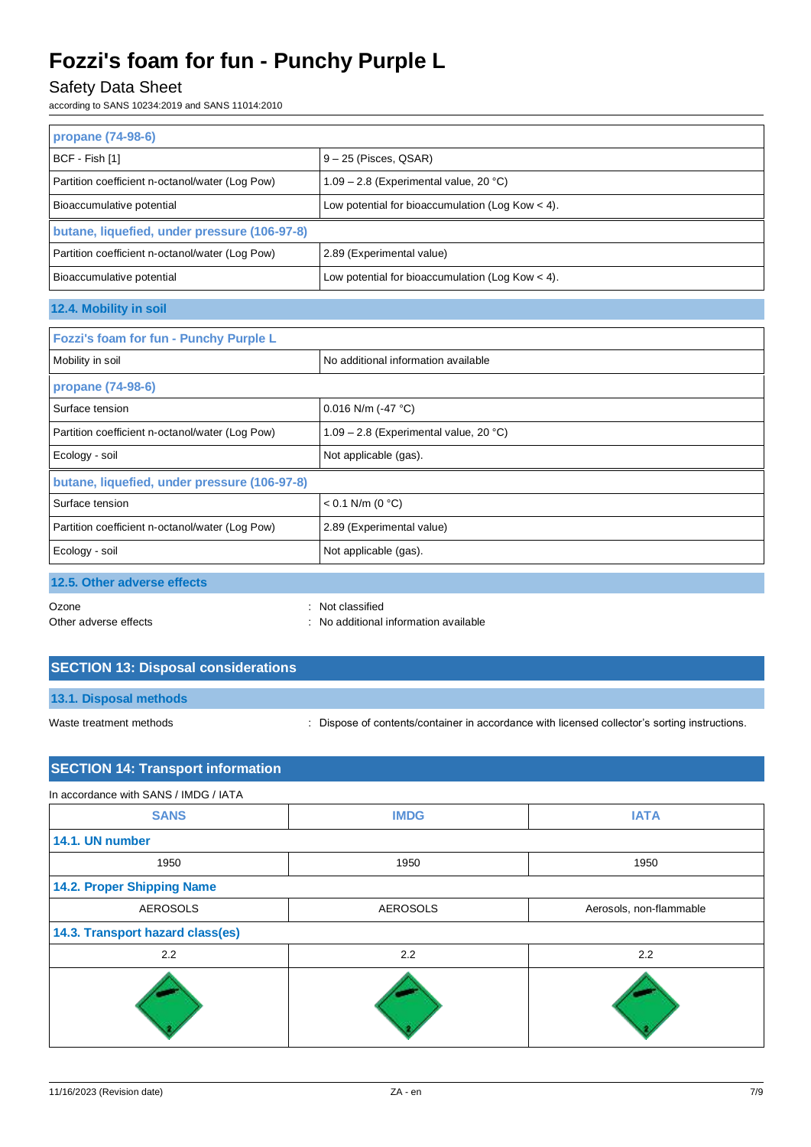## Safety Data Sheet

according to SANS 10234:2019 and SANS 11014:2010

| propane (74-98-6)                               |                                                    |  |
|-------------------------------------------------|----------------------------------------------------|--|
| BCF - Fish [1]                                  | $9 - 25$ (Pisces, QSAR)                            |  |
| Partition coefficient n-octanol/water (Log Pow) | $1.09 - 2.8$ (Experimental value, 20 °C)           |  |
| Bioaccumulative potential                       | Low potential for bioaccumulation (Log Kow $<$ 4). |  |
| butane, liquefied, under pressure (106-97-8)    |                                                    |  |
| Partition coefficient n-octanol/water (Log Pow) | 2.89 (Experimental value)                          |  |
| Bioaccumulative potential                       | Low potential for bioaccumulation (Log Kow $<$ 4). |  |
| 12.4. Mobility in soil                          |                                                    |  |
| Fozzi's foam for fun - Punchy Purple L          |                                                    |  |

| Mobility in soil                                | No additional information available    |  |
|-------------------------------------------------|----------------------------------------|--|
| propane (74-98-6)                               |                                        |  |
| Surface tension                                 | 0.016 N/m (-47 $^{\circ}$ C)           |  |
| Partition coefficient n-octanol/water (Log Pow) | 1.09 - 2.8 (Experimental value, 20 °C) |  |
| Ecology - soil                                  | Not applicable (gas).                  |  |
| butane, liquefied, under pressure (106-97-8)    |                                        |  |
| Surface tension                                 | $< 0.1$ N/m (0 °C)                     |  |
| Partition coefficient n-octanol/water (Log Pow) | 2.89 (Experimental value)              |  |
| Ecology - soil                                  | Not applicable (gas).                  |  |
| 12.5. Other adverse effects                     |                                        |  |

Ozone : Not classified Other adverse effects **in the contract of the contract of the contract of the contract of the contract of the contract of the contract of the contract of the contract of the contract of the contract of the contract of the** 

## **SECTION 13: Disposal considerations**

**13.1. Disposal methods**

Waste treatment methods : Dispose of contents/container in accordance with licensed collector's sorting instructions.

## **SECTION 14: Transport information**

| In accordance with SANS / IMDG / IATA |                 |                         |  |
|---------------------------------------|-----------------|-------------------------|--|
| <b>SANS</b>                           | <b>IMDG</b>     | <b>IATA</b>             |  |
| 14.1. UN number                       |                 |                         |  |
| 1950                                  | 1950            | 1950                    |  |
| 14.2. Proper Shipping Name            |                 |                         |  |
| <b>AEROSOLS</b>                       | <b>AEROSOLS</b> | Aerosols, non-flammable |  |
| 14.3. Transport hazard class(es)      |                 |                         |  |
| 2.2                                   | 2.2             | 2.2                     |  |
|                                       |                 |                         |  |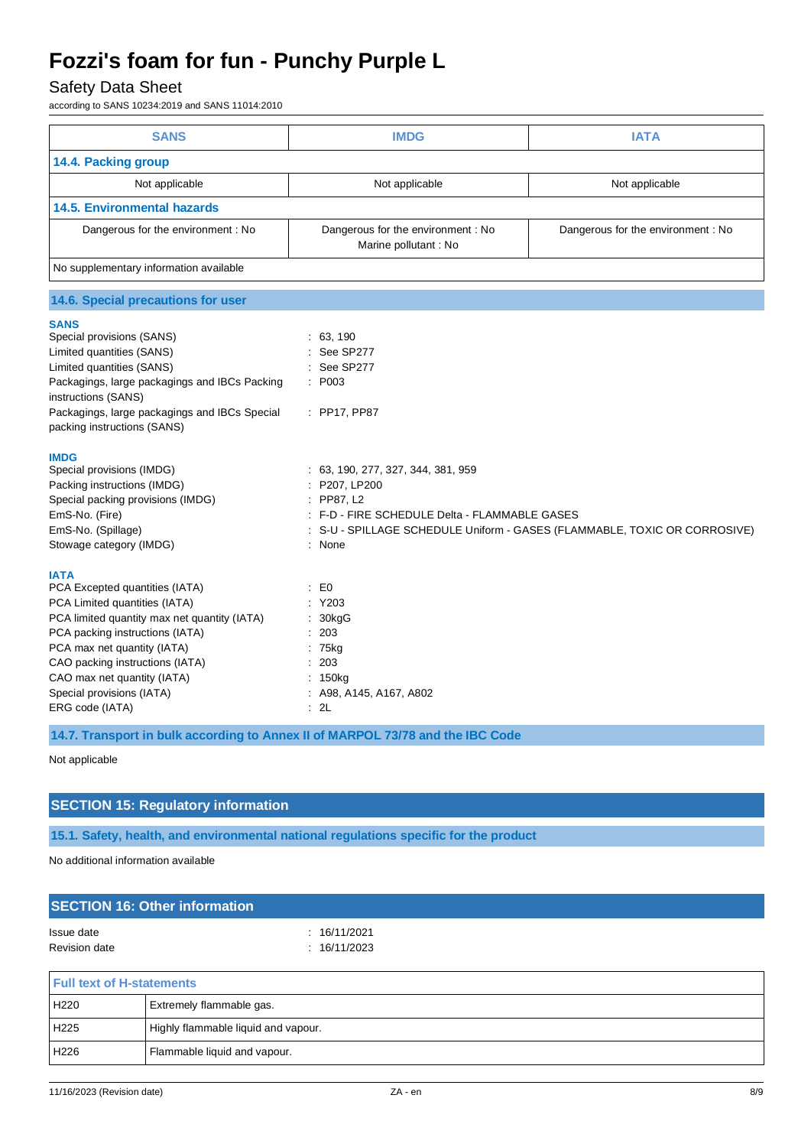## Safety Data Sheet

according to SANS 10234:2019 and SANS 11014:2010

| <b>SANS</b>                                                                                                                                                                                                                                                                                                                                                                                                                                                                                    | <b>IMDG</b>                                                                                                                                                                                                     | <b>IATA</b>                                                             |
|------------------------------------------------------------------------------------------------------------------------------------------------------------------------------------------------------------------------------------------------------------------------------------------------------------------------------------------------------------------------------------------------------------------------------------------------------------------------------------------------|-----------------------------------------------------------------------------------------------------------------------------------------------------------------------------------------------------------------|-------------------------------------------------------------------------|
| 14.4. Packing group                                                                                                                                                                                                                                                                                                                                                                                                                                                                            |                                                                                                                                                                                                                 |                                                                         |
| Not applicable                                                                                                                                                                                                                                                                                                                                                                                                                                                                                 | Not applicable                                                                                                                                                                                                  | Not applicable                                                          |
| <b>14.5. Environmental hazards</b>                                                                                                                                                                                                                                                                                                                                                                                                                                                             |                                                                                                                                                                                                                 |                                                                         |
| Dangerous for the environment: No                                                                                                                                                                                                                                                                                                                                                                                                                                                              | Dangerous for the environment : No<br>Marine pollutant : No                                                                                                                                                     | Dangerous for the environment : No                                      |
| No supplementary information available                                                                                                                                                                                                                                                                                                                                                                                                                                                         |                                                                                                                                                                                                                 |                                                                         |
| 14.6. Special precautions for user                                                                                                                                                                                                                                                                                                                                                                                                                                                             |                                                                                                                                                                                                                 |                                                                         |
| <b>SANS</b><br>Special provisions (SANS)<br>Limited quantities (SANS)<br>Limited quantities (SANS)<br>Packagings, large packagings and IBCs Packing<br>instructions (SANS)<br>Packagings, large packagings and IBCs Special<br>packing instructions (SANS)<br><b>IMDG</b><br>Special provisions (IMDG)<br>Packing instructions (IMDG)<br>Special packing provisions (IMDG)<br>EmS-No. (Fire)<br>EmS-No. (Spillage)<br>Stowage category (IMDG)<br><b>IATA</b><br>PCA Excepted quantities (IATA) | : 63, 190<br>See SP277<br>See SP277<br>P003<br>: PP17, PP87<br>: 63, 190, 277, 327, 344, 381, 959<br>P207, LP200<br>PP87, L2<br>÷<br>: F-D - FIRE SCHEDULE Delta - FLAMMABLE GASES<br>: None<br>$\mathbf{E}$ EO | S-U - SPILLAGE SCHEDULE Uniform - GASES (FLAMMABLE, TOXIC OR CORROSIVE) |
| PCA Limited quantities (IATA)<br>PCA limited quantity max net quantity (IATA)<br>PCA packing instructions (IATA)<br>PCA max net quantity (IATA)<br>CAO packing instructions (IATA)<br>CAO max net quantity (IATA)<br>Special provisions (IATA)<br>ERG code (IATA)                                                                                                                                                                                                                              | Y203<br>30kgG<br>203<br>: 75kg<br>203<br>150 <sub>kg</sub><br>: A98, A145, A167, A802<br>: 2L                                                                                                                   |                                                                         |

**14.7. Transport in bulk according to Annex II of MARPOL 73/78 and the IBC Code**

Not applicable

### **SECTION 15: Regulatory information**

**15.1. Safety, health, and environmental national regulations specific for the product**

No additional information available

| <b>SECTION 16: Other information</b> |              |  |
|--------------------------------------|--------------|--|
| Issue date                           | : 16/11/2021 |  |
| Revision date                        | : 16/11/2023 |  |
|                                      |              |  |

| <b>Full text of H-statements</b> |                                     |  |
|----------------------------------|-------------------------------------|--|
| H220                             | Extremely flammable gas.            |  |
| H225                             | Highly flammable liquid and vapour. |  |
| H226                             | Flammable liquid and vapour.        |  |